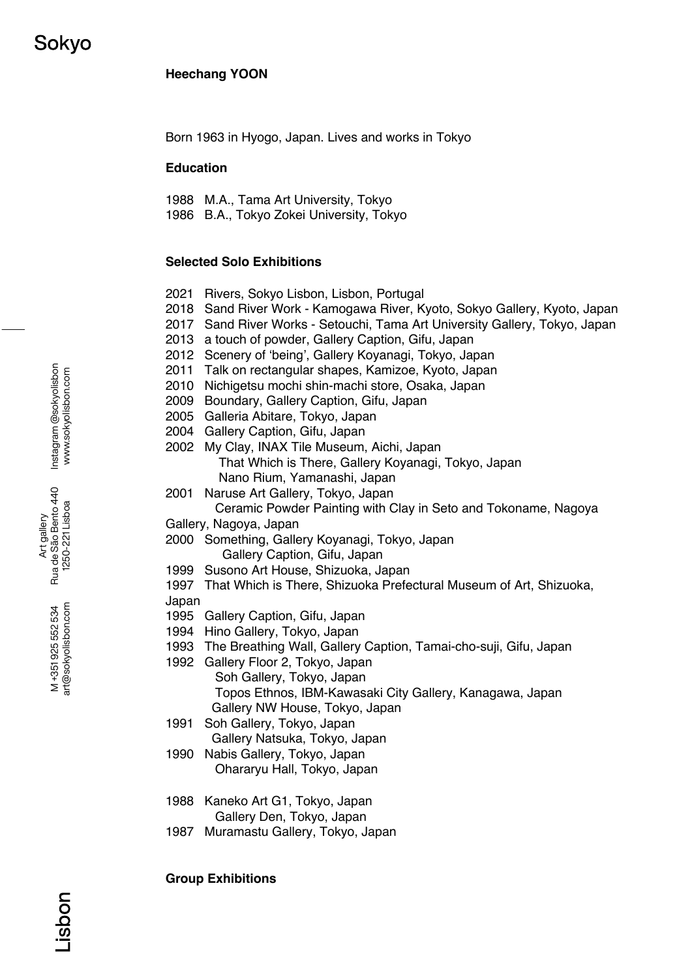# **Heechang YOON**

Born 1963 in Hyogo, Japan. Lives and works in Tokyo

### **Education**

1988 M.A., Tama Art University, Tokyo

1986 B.A., Tokyo Zokei University, Tokyo

# **Selected Solo Exhibitions**

- 2021 Rivers, Sokyo Lisbon, Lisbon, Portugal
- 2018 Sand River Work Kamogawa River, Kyoto, Sokyo Gallery, Kyoto, Japan
- 2017 Sand River Works Setouchi, Tama Art University Gallery, Tokyo, Japan
- 2013 a touch of powder, Gallery Caption, Gifu, Japan
- 2012 Scenery of 'being', Gallery Koyanagi, Tokyo, Japan
- 2011 Talk on rectangular shapes, Kamizoe, Kyoto, Japan
- 2010 Nichigetsu mochi shin-machi store, Osaka, Japan
- 2009 Boundary, Gallery Caption, Gifu, Japan
- 2005 Galleria Abitare, Tokyo, Japan
- 2004 Gallery Caption, Gifu, Japan
- 2002 My Clay, INAX Tile Museum, Aichi, Japan That Which is There, Gallery Koyanagi, Tokyo, Japan Nano Rium, Yamanashi, Japan
- 2001 Naruse Art Gallery, Tokyo, Japan Ceramic Powder Painting with Clay in Seto and Tokoname, Nagoya
- Gallery, Nagoya, Japan
- 2000 Something, Gallery Koyanagi, Tokyo, Japan Gallery Caption, Gifu, Japan
- 1999 Susono Art House, Shizuoka, Japan
- 1997 That Which is There, Shizuoka Prefectural Museum of Art, Shizuoka, Japan
- 1995 Gallery Caption, Gifu, Japan
- 1994 Hino Gallery, Tokyo, Japan
- 1993 The Breathing Wall, Gallery Caption, Tamai-cho-suji, Gifu, Japan
- 1992 Gallery Floor 2, Tokyo, Japan
	- Soh Gallery, Tokyo, Japan Topos Ethnos, IBM-Kawasaki City Gallery, Kanagawa, Japan Gallery NW House, Tokyo, Japan
- 1991 Soh Gallery, Tokyo, Japan Gallery Natsuka, Tokyo, Japan
- 1990 Nabis Gallery, Tokyo, Japan Ohararyu Hall, Tokyo, Japan
- 1988 Kaneko Art G1, Tokyo, Japan Gallery Den, Tokyo, Japan
- 1987 Muramastu Gallery, Tokyo, Japan

**Group Exhibitions** 

Instagram @sokyolisbon Instagram @sokyolisbon www.sokyolisbon.com www.sokyolisbon.com

Art gallery<br>Rua de São Bento 440 Rua de São Bento 440 1250-221 Lisboa 1250-221 Lisboa

> art@sokyolisbon.com art@sokyolisbon.com M+351925552534 M +351 925 552 534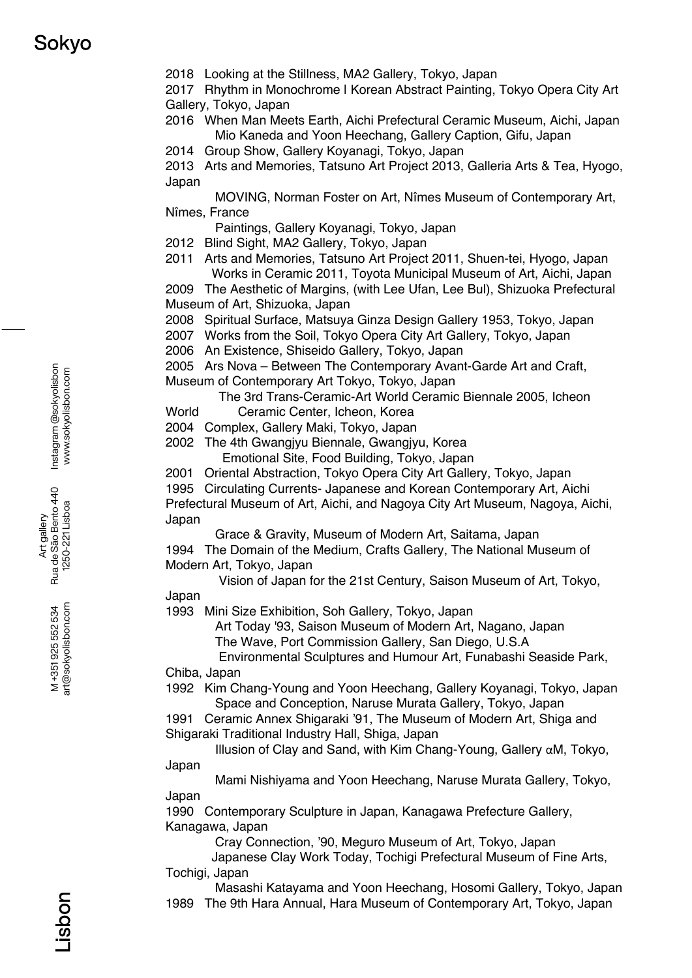2018 Looking at the Stillness, MA2 Gallery, Tokyo, Japan

2017 Rhythm in Monochrome | Korean Abstract Painting, Tokyo Opera City Art Gallery, Tokyo, Japan

2016 When Man Meets Earth, Aichi Prefectural Ceramic Museum, Aichi, Japan Mio Kaneda and Yoon Heechang, Gallery Caption, Gifu, Japan

2014 Group Show, Gallery Koyanagi, Tokyo, Japan

2013 Arts and Memories, Tatsuno Art Project 2013, Galleria Arts & Tea, Hyogo, Japan

 MOVING, Norman Foster on Art, Nîmes Museum of Contemporary Art, Nîmes, France

Paintings, Gallery Koyanagi, Tokyo, Japan

- 2012 Blind Sight, MA2 Gallery, Tokyo, Japan
- 2011 Arts and Memories, Tatsuno Art Project 2011, Shuen-tei, Hyogo, Japan Works in Ceramic 2011, Toyota Municipal Museum of Art, Aichi, Japan

2009 The Aesthetic of Margins, (with Lee Ufan, Lee Bul), Shizuoka Prefectural Museum of Art, Shizuoka, Japan

2008 Spiritual Surface, Matsuya Ginza Design Gallery 1953, Tokyo, Japan

2007 Works from the Soil, Tokyo Opera City Art Gallery, Tokyo, Japan

2006 An Existence, Shiseido Gallery, Tokyo, Japan

2005 Ars Nova – Between The Contemporary Avant-Garde Art and Craft, Museum of Contemporary Art Tokyo, Tokyo, Japan

The 3rd Trans-Ceramic-Art World Ceramic Biennale 2005, Icheon

World Ceramic Center, Icheon, Korea

2004 Complex, Gallery Maki, Tokyo, Japan

2002 The 4th Gwangiyu Biennale, Gwangiyu, Korea Emotional Site, Food Building, Tokyo, Japan

2001 Oriental Abstraction, Tokyo Opera City Art Gallery, Tokyo, Japan

1995 Circulating Currents- Japanese and Korean Contemporary Art, Aichi Prefectural Museum of Art, Aichi, and Nagoya City Art Museum, Nagoya, Aichi, Japan

Grace & Gravity, Museum of Modern Art, Saitama, Japan

1994 The Domain of the Medium, Crafts Gallery, The National Museum of Modern Art, Tokyo, Japan

 Vision of Japan for the 21st Century, Saison Museum of Art, Tokyo, Japan

1993 Mini Size Exhibition, Soh Gallery, Tokyo, Japan

 Art Today '93, Saison Museum of Modern Art, Nagano, Japan The Wave, Port Commission Gallery, San Diego, U.S.A

 Environmental Sculptures and Humour Art, Funabashi Seaside Park, Chiba, Japan

1992 Kim Chang-Young and Yoon Heechang, Gallery Koyanagi, Tokyo, Japan Space and Conception, Naruse Murata Gallery, Tokyo, Japan

1991 Ceramic Annex Shigaraki '91, The Museum of Modern Art, Shiga and Shigaraki Traditional Industry Hall, Shiga, Japan

 Illusion of Clay and Sand, with Kim Chang-Young, Gallery αM, Tokyo, Japan

 Mami Nishiyama and Yoon Heechang, Naruse Murata Gallery, Tokyo, Japan

1990 Contemporary Sculpture in Japan, Kanagawa Prefecture Gallery, Kanagawa, Japan

Cray Connection, '90, Meguro Museum of Art, Tokyo, Japan

 Japanese Clay Work Today, Tochigi Prefectural Museum of Fine Arts, Tochigi, Japan

Masashi Katayama and Yoon Heechang, Hosomi Gallery, Tokyo, Japan

1989 The 9th Hara Annual, Hara Museum of Contemporary Art, Tokyo, Japan

Art gallery<br>Rua de São Bento 440 Rua de São Bento 440 1250-221 Lisboa 1250-221 Lisboa

> art@sokyolisbon.com art@sokyolisbon.com M+351925552534 M +351 925 552 534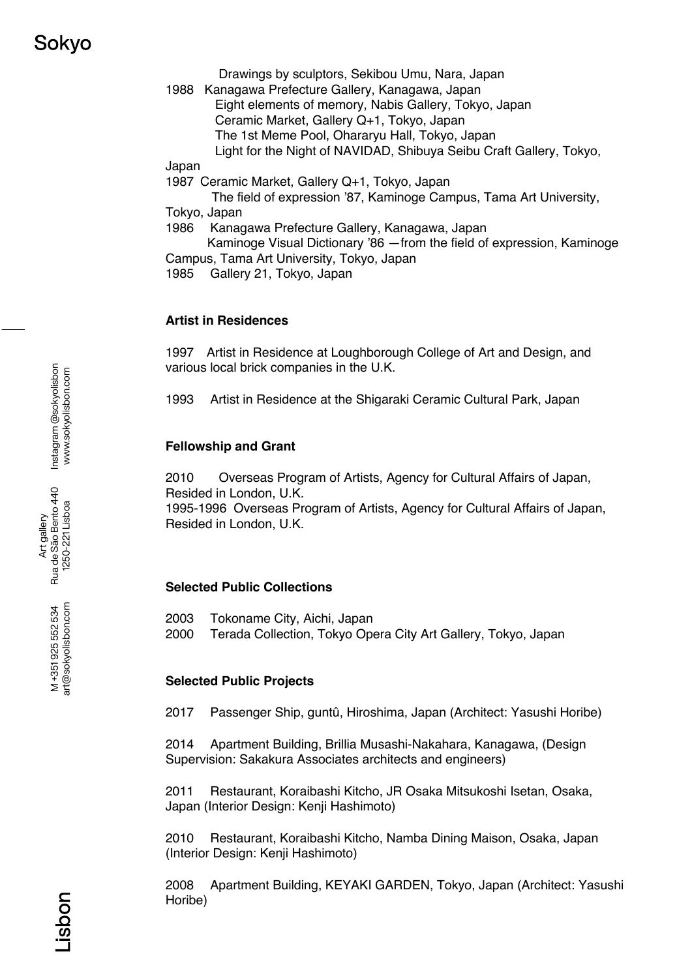# Sokvo

Drawings by sculptors, Sekibou Umu, Nara, Japan

1988 Kanagawa Prefecture Gallery, Kanagawa, Japan Eight elements of memory, Nabis Gallery, Tokyo, Japan Ceramic Market, Gallery Q+1, Tokyo, Japan The 1st Meme Pool, Ohararyu Hall, Tokyo, Japan Light for the Night of NAVIDAD, Shibuya Seibu Craft Gallery, Tokyo,

Japan

1987 Ceramic Market, Gallery Q+1, Tokyo, Japan

 The field of expression '87, Kaminoge Campus, Tama Art University, Tokyo, Japan

1986 Kanagawa Prefecture Gallery, Kanagawa, Japan

 Kaminoge Visual Dictionary '86 —from the field of expression, Kaminoge Campus, Tama Art University, Tokyo, Japan

1985 Gallery 21, Tokyo, Japan

## **Artist in Residences**

1997 Artist in Residence at Loughborough College of Art and Design, and various local brick companies in the U.K.

1993 Artist in Residence at the Shigaraki Ceramic Cultural Park, Japan

# **Fellowship and Grant**

2010 Overseas Program of Artists, Agency for Cultural Affairs of Japan, Resided in London, U.K. 1995-1996 Overseas Program of Artists, Agency for Cultural Affairs of Japan, Resided in London, U.K.

# **Selected Public Collections**

- 2003 Tokoname City, Aichi, Japan
- 2000 Terada Collection, Tokyo Opera City Art Gallery, Tokyo, Japan

## **Selected Public Projects**

2017 Passenger Ship, guntû, Hiroshima, Japan (Architect: Yasushi Horibe)

2014 Apartment Building, Brillia Musashi-Nakahara, Kanagawa, (Design Supervision: Sakakura Associates architects and engineers)

2011 Restaurant, Koraibashi Kitcho, JR Osaka Mitsukoshi Isetan, Osaka, Japan (Interior Design: Kenji Hashimoto)

2010 Restaurant, Koraibashi Kitcho, Namba Dining Maison, Osaka, Japan (Interior Design: Kenji Hashimoto)

2008 Apartment Building, KEYAKI GARDEN, Tokyo, Japan (Architect: Yasushi Horibe)

Instagram @sokyolisbon Instagram @sokyolisbon www.sokyolisbon.com www.sokyolisbon.com

M+351925 552 534<br>art@sokyolisbon.com art@sokyolisbon.com M +351 925 552 534